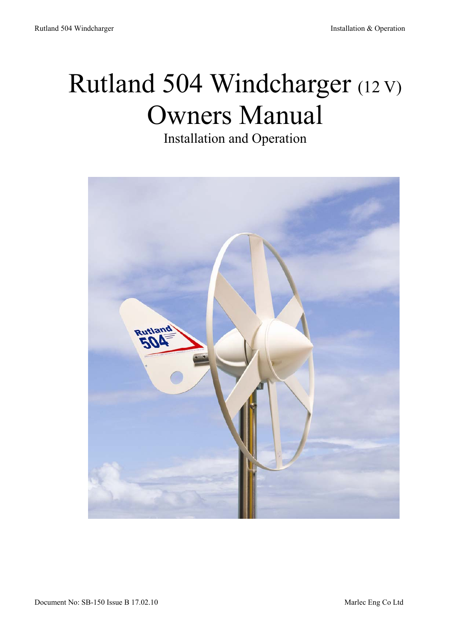# Rutland 504 Windcharger (12 V) Owners Manual

Installation and Operation

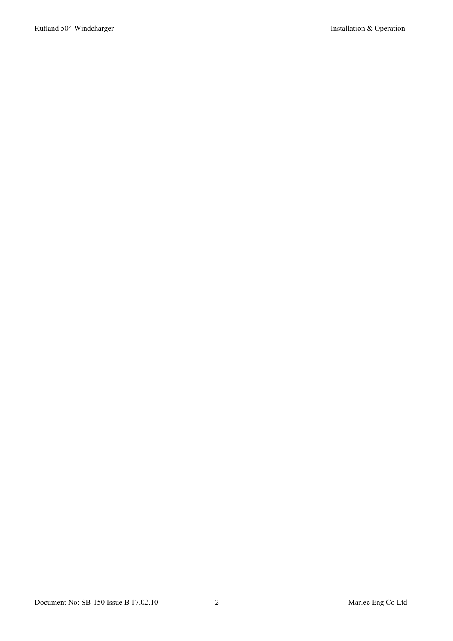Rutland 504 Windcharger Installation & Operation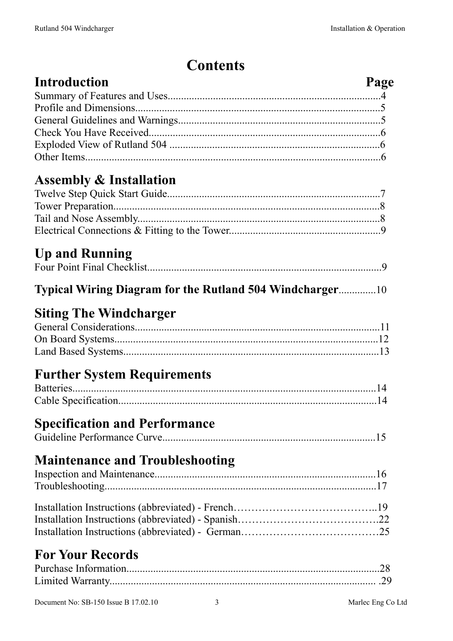# **Contents**

# **Introduction Page**  Summary of Features and Uses................................................................................4 Profile and Dimensions............................................................................................5 General Guidelines and Warnings............................................................................5 Check You Have Received.......................................................................................6 Exploded View of Rutland 504 ...............................................................................6 Other Items...............................................................................................................6 **Assembly & Installation**  Twelve Step Quick Start Guide................................................................................7 Tower Preparation....................................................................................................8 Tail and Nose Assembly...........................................................................................8 Electrical Connections & Fitting to the Tower.........................................................9 **Up and Running**  Four Point Final Checklist........................................................................................9 **Typical Wiring Diagram for the Rutland 504 Windcharger**..............10 **Siting The Windcharger**  General Considerations............................................................................................11 On Board Systems...................................................................................................12 Land Based Systems................................................................................................13 **Further System Requirements**  Batteries..................................................................................................................14 Cable Specification.................................................................................................14 **Specification and Performance**  Guideline Performance Curve................................................................................15 **Maintenance and Troubleshooting**  Inspection and Maintenance...................................................................................16 Troubleshooting......................................................................................................17 Installation Instructions (abbreviated) - French…………………………………..19 Installation Instructions (abbreviated) - Spanish………………………………….22 Installation Instructions (abbreviated) - German…………………………………25 **For Your Records**  Purchase Information...............................................................................................28 Limited Warranty.................................................................................................... .29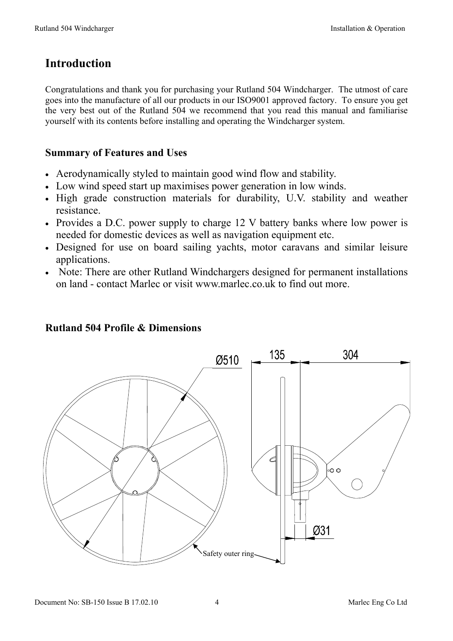## **Introduction**

Congratulations and thank you for purchasing your Rutland 504 Windcharger. The utmost of care goes into the manufacture of all our products in our ISO9001 approved factory. To ensure you get the very best out of the Rutland 504 we recommend that you read this manual and familiarise yourself with its contents before installing and operating the Windcharger system.

#### **Summary of Features and Uses**

- Aerodynamically styled to maintain good wind flow and stability.
- Low wind speed start up maximises power generation in low winds.
- High grade construction materials for durability, U.V. stability and weather resistance.
- Provides a D.C. power supply to charge 12 V battery banks where low power is needed for domestic devices as well as navigation equipment etc.
- Designed for use on board sailing yachts, motor caravans and similar leisure applications.
- Note: There are other Rutland Windchargers designed for permanent installations on land - contact Marlec or visit www.marlec.co.uk to find out more.

#### **Rutland 504 Profile & Dimensions**

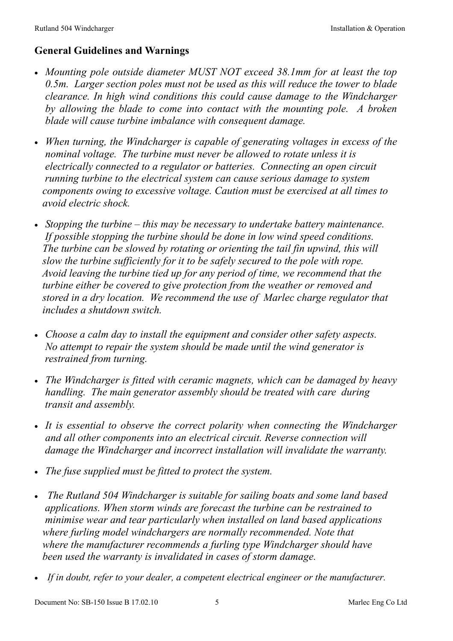#### **General Guidelines and Warnings**

- *Mounting pole outside diameter MUST NOT exceed 38.1mm for at least the top 0.5m. Larger section poles must not be used as this will reduce the tower to blade clearance. In high wind conditions this could cause damage to the Windcharger by allowing the blade to come into contact with the mounting pole. A broken blade will cause turbine imbalance with consequent damage.*
- *When turning, the Windcharger is capable of generating voltages in excess of the nominal voltage. The turbine must never be allowed to rotate unless it is electrically connected to a regulator or batteries. Connecting an open circuit running turbine to the electrical system can cause serious damage to system components owing to excessive voltage. Caution must be exercised at all times to avoid electric shock.*
- *Stopping the turbine this may be necessary to undertake battery maintenance. If possible stopping the turbine should be done in low wind speed conditions. The turbine can be slowed by rotating or orienting the tail fin upwind, this will slow the turbine sufficiently for it to be safely secured to the pole with rope. Avoid leaving the turbine tied up for any period of time, we recommend that the turbine either be covered to give protection from the weather or removed and stored in a dry location. We recommend the use of Marlec charge regulator that includes a shutdown switch.*
- *Choose a calm day to install the equipment and consider other safety aspects. No attempt to repair the system should be made until the wind generator is restrained from turning.*
- *The Windcharger is fitted with ceramic magnets, which can be damaged by heavy handling. The main generator assembly should be treated with care during transit and assembly.*
- *It is essential to observe the correct polarity when connecting the Windcharger and all other components into an electrical circuit. Reverse connection will damage the Windcharger and incorrect installation will invalidate the warranty.*
- *The fuse supplied must be fitted to protect the system.*
- *The Rutland 504 Windcharger is suitable for sailing boats and some land based applications. When storm winds are forecast the turbine can be restrained to minimise wear and tear particularly when installed on land based applications where furling model windchargers are normally recommended. Note that where the manufacturer recommends a furling type Windcharger should have been used the warranty is invalidated in cases of storm damage.*
- *If in doubt, refer to your dealer, a competent electrical engineer or the manufacturer.*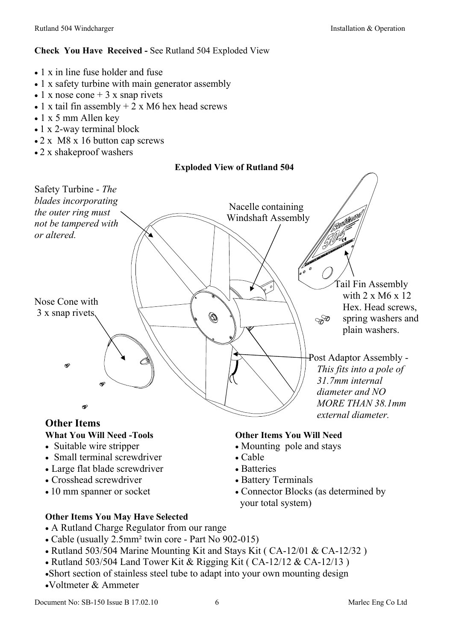#### **Check You Have Received -** See Rutland 504 Exploded View

- 1 x in line fuse holder and fuse
- 1 x safety turbine with main generator assembly
- $\bullet$  1 x nose cone + 3 x snap rivets
- 1 x tail fin assembly  $+ 2x$  M6 hex head screws
- 1 x 5 mm Allen key
- 1 x 2-way terminal block
- 2 x M8 x 16 button cap screws
- 2 x shakeproof washers

#### **Exploded View of Rutland 504**



#### **What You Will Need -Tools**

- Suitable wire stripper
- Small terminal screwdriver
- Large flat blade screwdriver
- Crosshead screwdriver
- 10 mm spanner or socket

#### **Other Items You May Have Selected**

- A Rutland Charge Regulator from our range
- Cable (usually 2.5mm² twin core Part No 902-015)
- Rutland 503/504 Marine Mounting Kit and Stays Kit ( CA-12/01 & CA-12/32 )
- Rutland 503/504 Land Tower Kit & Rigging Kit ( CA-12/12 & CA-12/13 )
- •Short section of stainless steel tube to adapt into your own mounting design
- •Voltmeter & Ammeter

Document No: SB-150 Issue B 17.02.10 6 Marlec Eng Co Ltd

#### **Other Items You Will Need**

- Mounting pole and stays
- Cable
- Batteries
- Battery Terminals
- Connector Blocks (as determined by your total system)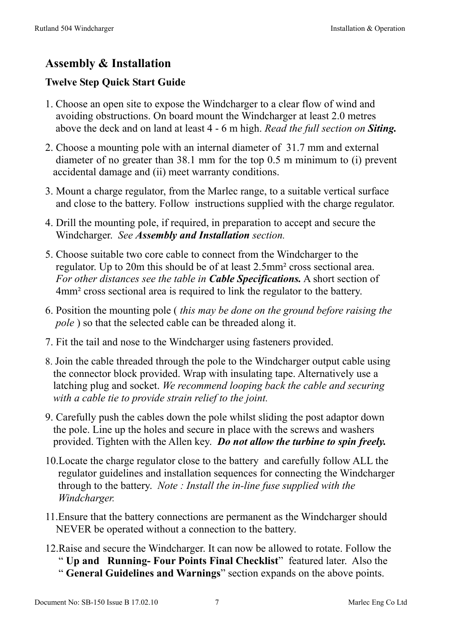# **Assembly & Installation**

#### **Twelve Step Quick Start Guide**

- 1. Choose an open site to expose the Windcharger to a clear flow of wind and avoiding obstructions. On board mount the Windcharger at least 2.0 metres above the deck and on land at least 4 - 6 m high. *Read the full section on Siting.*
- 2. Choose a mounting pole with an internal diameter of 31.7 mm and external diameter of no greater than 38.1 mm for the top 0.5 m minimum to (i) prevent accidental damage and (ii) meet warranty conditions.
- 3. Mount a charge regulator, from the Marlec range, to a suitable vertical surface and close to the battery. Follow instructions supplied with the charge regulator.
- 4. Drill the mounting pole, if required, in preparation to accept and secure the Windcharger. *See Assembly and Installation section.*
- 5. Choose suitable two core cable to connect from the Windcharger to the regulator. Up to 20m this should be of at least 2.5mm² cross sectional area. *For other distances see the table in Cable Specifications.* A short section of 4mm² cross sectional area is required to link the regulator to the battery.
- 6. Position the mounting pole ( *this may be done on the ground before raising the pole* ) so that the selected cable can be threaded along it.
- 7. Fit the tail and nose to the Windcharger using fasteners provided.
- 8. Join the cable threaded through the pole to the Windcharger output cable using the connector block provided. Wrap with insulating tape. Alternatively use a latching plug and socket. *We recommend looping back the cable and securing with a cable tie to provide strain relief to the joint.*
- 9. Carefully push the cables down the pole whilst sliding the post adaptor down the pole. Line up the holes and secure in place with the screws and washers provided. Tighten with the Allen key. *Do not allow the turbine to spin freely.*
- 10.Locate the charge regulator close to the battery and carefully follow ALL the regulator guidelines and installation sequences for connecting the Windcharger through to the battery. *Note : Install the in-line fuse supplied with the Windcharger.*
- 11.Ensure that the battery connections are permanent as the Windcharger should NEVER be operated without a connection to the battery.
- 12.Raise and secure the Windcharger. It can now be allowed to rotate. Follow the
	- " **Up and Running- Four Points Final Checklist**" featured later. Also the
	- " **General Guidelines and Warnings**" section expands on the above points.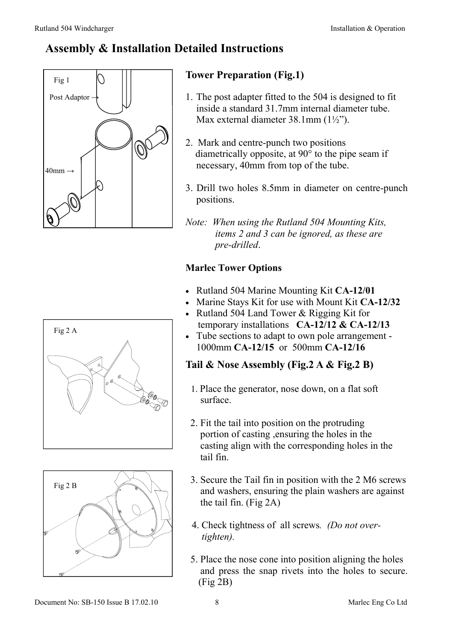# **Assembly & Installation Detailed Instructions**



#### **Tower Preparation (Fig.1)**

- 1. The post adapter fitted to the 504 is designed to fit inside a standard 31.7mm internal diameter tube. Max external diameter 38.1mm (1½").
- 2. Mark and centre-punch two positions diametrically opposite, at 90° to the pipe seam if necessary, 40mm from top of the tube.
- 3. Drill two holes 8.5mm in diameter on centre-punch positions.

*Note: When using the Rutland 504 Mounting Kits, items 2 and 3 can be ignored, as these are pre-drilled*.

#### **Marlec Tower Options**

- Rutland 504 Marine Mounting Kit **CA-12/01**
- Marine Stays Kit for use with Mount Kit **CA-12/32**
- Rutland 504 Land Tower & Rigging Kit for temporary installations **CA-12/12 & CA-12/13**
- Tube sections to adapt to own pole arrangement 1000mm **CA-12/15** or500mm **CA-12/16**

## **Tail & Nose Assembly (Fig.2 A & Fig.2 B)**

- 1. Place the generator, nose down, on a flat soft surface.
- 2. Fit the tail into position on the protruding portion of casting ,ensuring the holes in the casting align with the corresponding holes in the tail fin.
- 3. Secure the Tail fin in position with the 2 M6 screws and washers, ensuring the plain washers are against the tail fin. (Fig 2A)
- 4. Check tightness of all screws*. (Do not over tighten).*
- 5. Place the nose cone into position aligning the holes and press the snap rivets into the holes to secure. (Fig 2B)



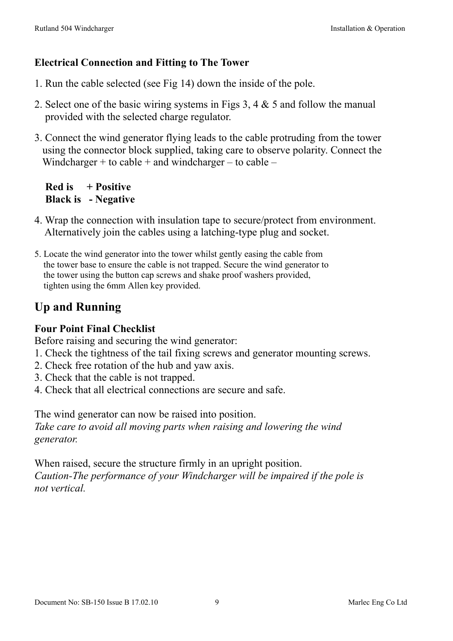#### **Electrical Connection and Fitting to The Tower**

- 1. Run the cable selected (see Fig 14) down the inside of the pole.
- 2. Select one of the basic wiring systems in Figs 3, 4 & 5 and follow the manual provided with the selected charge regulator.
- 3. Connect the wind generator flying leads to the cable protruding from the tower using the connector block supplied, taking care to observe polarity. Connect the Windcharger  $+$  to cable  $+$  and windcharger  $-$  to cable  $-$

```
Red is + Positive
Black is - Negative
```
- 4. Wrap the connection with insulation tape to secure/protect from environment. Alternatively join the cables using a latching-type plug and socket.
- 5. Locate the wind generator into the tower whilst gently easing the cable from the tower base to ensure the cable is not trapped. Secure the wind generator to the tower using the button cap screws and shake proof washers provided, tighten using the 6mm Allen key provided.

## **Up and Running**

#### **Four Point Final Checklist**

Before raising and securing the wind generator:

- 1. Check the tightness of the tail fixing screws and generator mounting screws.
- 2. Check free rotation of the hub and yaw axis.
- 3. Check that the cable is not trapped.
- 4. Check that all electrical connections are secure and safe.

The wind generator can now be raised into position. *Take care to avoid all moving parts when raising and lowering the wind generator.* 

When raised, secure the structure firmly in an upright position. *Caution-The performance of your Windcharger will be impaired if the pole is not vertical.*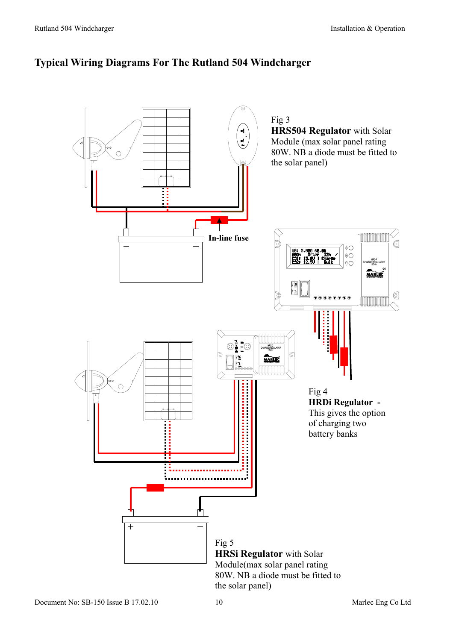#### **Typical Wiring Diagrams For The Rutland 504 Windcharger**

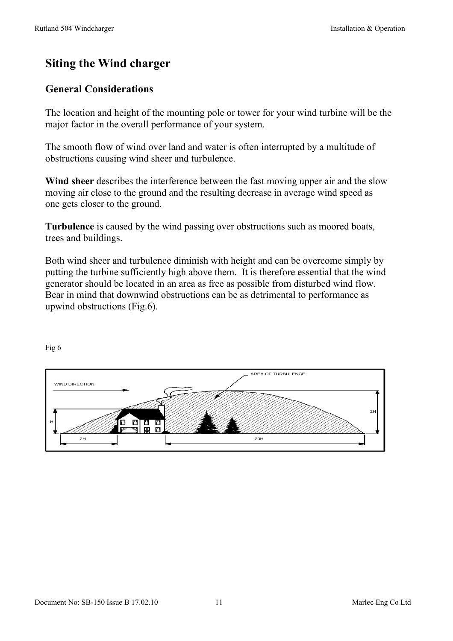# **Siting the Wind charger**

#### **General Considerations**

The location and height of the mounting pole or tower for your wind turbine will be the major factor in the overall performance of your system.

The smooth flow of wind over land and water is often interrupted by a multitude of obstructions causing wind sheer and turbulence.

**Wind sheer** describes the interference between the fast moving upper air and the slow moving air close to the ground and the resulting decrease in average wind speed as one gets closer to the ground.

**Turbulence** is caused by the wind passing over obstructions such as moored boats, trees and buildings.

Both wind sheer and turbulence diminish with height and can be overcome simply by putting the turbine sufficiently high above them. It is therefore essential that the wind generator should be located in an area as free as possible from disturbed wind flow. Bear in mind that downwind obstructions can be as detrimental to performance as upwind obstructions (Fig.6).

Fig 6

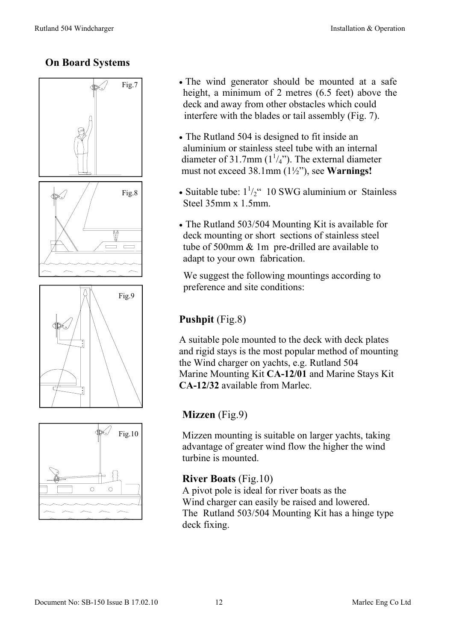#### **On Board Systems**







- $\overline{Fig.7}$  The wind generator should be mounted at a safe height, a minimum of 2 metres (6.5 feet) above the deck and away from other obstacles which could interfere with the blades or tail assembly (Fig. 7).
	- The Rutland 504 is designed to fit inside an aluminium or stainless steel tube with an internal diameter of 31.7mm  $(1^{1}/4)$ . The external diameter must not exceed 38.1mm (1½"), see **Warnings!**
	- Suitable tube:  $1\frac{1}{2}$ " 10 SWG aluminium or Stainless Steel 35mm x 1.5mm.
	- The Rutland 503/504 Mounting Kit is available for deck mounting or short sections of stainless steel tube of 500mm & 1m pre-drilled are available to adapt to your own fabrication.

We suggest the following mountings according to preference and site conditions:

#### **Pushpit** (Fig.8)

A suitable pole mounted to the deck with deck plates and rigid stays is the most popular method of mounting the Wind charger on yachts, e.g. Rutland 504 Marine Mounting Kit **CA-12/01** and Marine Stays Kit **CA-12/32** available from Marlec.

#### **Mizzen** (Fig.9)

Mizzen mounting is suitable on larger yachts, taking advantage of greater wind flow the higher the wind turbine is mounted.

#### **River Boats** (Fig.10)

A pivot pole is ideal for river boats as the Wind charger can easily be raised and lowered. The Rutland 503/504 Mounting Kit has a hinge type deck fixing.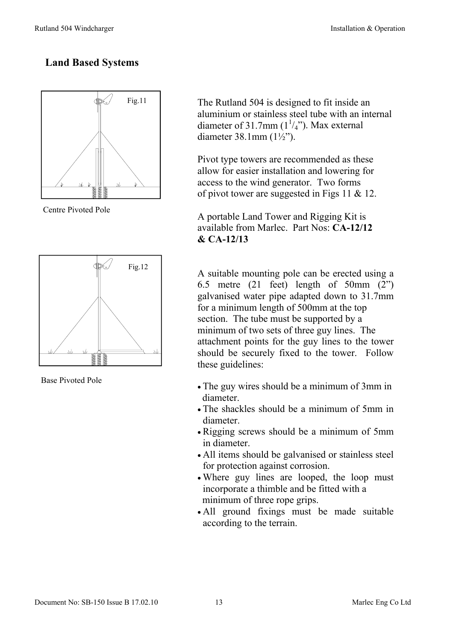#### **Land Based Systems**



Centre Pivoted Pole



Base Pivoted Pole

The Rutland 504 is designed to fit inside an aluminium or stainless steel tube with an internal diameter of 31.7mm  $(1\frac{1}{4})$ . Max external diameter 38.1mm (1½").

Pivot type towers are recommended as these allow for easier installation and lowering for access to the wind generator. Two forms of pivot tower are suggested in Figs 11 & 12.

A portable Land Tower and Rigging Kit is available from Marlec. Part Nos: **CA-12/12 & CA-12/13** 

A suitable mounting pole can be erected using a 6.5 metre (21 feet) length of 50mm (2") galvanised water pipe adapted down to 31.7mm for a minimum length of 500mm at the top section. The tube must be supported by a minimum of two sets of three guy lines. The attachment points for the guy lines to the tower should be securely fixed to the tower. Follow these guidelines:

- The guy wires should be a minimum of 3mm in diameter.
- The shackles should be a minimum of 5mm in diameter.
- Rigging screws should be a minimum of 5mm in diameter.
- All items should be galvanised or stainless steel for protection against corrosion.
- Where guy lines are looped, the loop must incorporate a thimble and be fitted with a minimum of three rope grips.
- All ground fixings must be made suitable according to the terrain.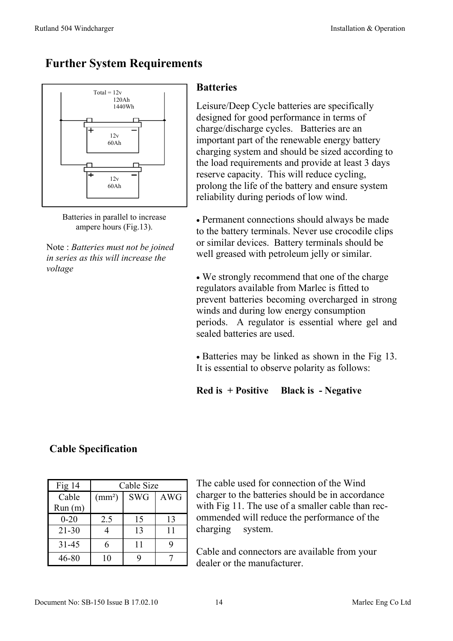## **Further System Requirements**



Batteries in parallel to increase ampere hours (Fig.13).

Note : *Batteries must not be joined in series as this will increase the voltage* 

#### **Batteries**

Leisure/Deep Cycle batteries are specifically designed for good performance in terms of charge/discharge cycles. Batteries are an important part of the renewable energy battery charging system and should be sized according to the load requirements and provide at least 3 days reserve capacity. This will reduce cycling, prolong the life of the battery and ensure system reliability during periods of low wind.

• Permanent connections should always be made to the battery terminals. Never use crocodile clips or similar devices. Battery terminals should be well greased with petroleum jelly or similar.

• We strongly recommend that one of the charge regulators available from Marlec is fitted to prevent batteries becoming overcharged in strong winds and during low energy consumption periods. A regulator is essential where gel and sealed batteries are used.

• Batteries may be linked as shown in the Fig 13. It is essential to observe polarity as follows:

**Red is + Positive Black is - Negative** 

| Fig $14$  | Cable Size      |            |            |
|-----------|-----------------|------------|------------|
| Cable     | $\text{(mm}^2)$ | <b>SWG</b> | <b>AWG</b> |
| Run(m)    |                 |            |            |
| $0 - 20$  | 2.5             | 15         | 13         |
| $21 - 30$ |                 | 13         | 11         |
| $31 - 45$ |                 | 11         |            |
| 46-80     | 10              |            |            |

#### **Cable Specification**

The cable used for connection of the Wind charger to the batteries should be in accordance with Fig 11. The use of a smaller cable than recommended will reduce the performance of the charging system.

Cable and connectors are available from your dealer or the manufacturer.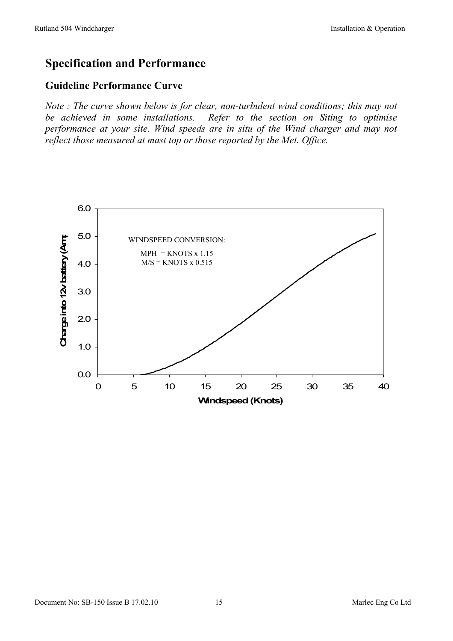## **Specification and Performance**

#### **Guideline Performance Curve**

*Note : The curve shown below is for clear, non-turbulent wind conditions; this may not be achieved in some installations. Refer to the section on Siting to optimise performance at your site. Wind speeds are in situ of the Wind charger and may not reflect those measured at mast top or those reported by the Met. Office.*

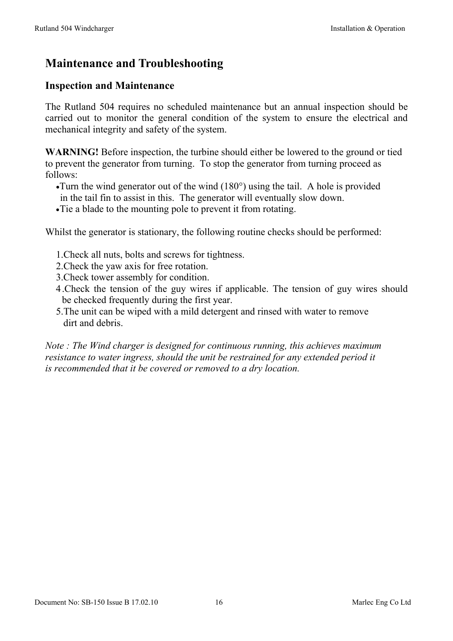# **Maintenance and Troubleshooting**

#### **Inspection and Maintenance**

The Rutland 504 requires no scheduled maintenance but an annual inspection should be carried out to monitor the general condition of the system to ensure the electrical and mechanical integrity and safety of the system.

**WARNING!** Before inspection, the turbine should either be lowered to the ground or tied to prevent the generator from turning. To stop the generator from turning proceed as follows:

- •Turn the wind generator out of the wind (180°) using the tail. A hole is provided in the tail fin to assist in this. The generator will eventually slow down.
- Tie a blade to the mounting pole to prevent it from rotating.

Whilst the generator is stationary, the following routine checks should be performed:

- 1.Check all nuts, bolts and screws for tightness.
- 2.Check the yaw axis for free rotation.
- 3.Check tower assembly for condition.
- 4 .Check the tension of the guy wires if applicable. The tension of guy wires should be checked frequently during the first year.
- 5.The unit can be wiped with a mild detergent and rinsed with water to remove dirt and debris.

*Note : The Wind charger is designed for continuous running, this achieves maximum resistance to water ingress, should the unit be restrained for any extended period it is recommended that it be covered or removed to a dry location.*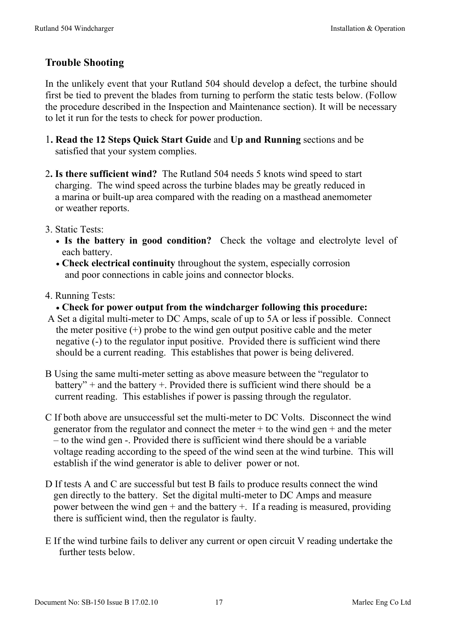#### **Trouble Shooting**

In the unlikely event that your Rutland 504 should develop a defect, the turbine should first be tied to prevent the blades from turning to perform the static tests below. (Follow the procedure described in the Inspection and Maintenance section). It will be necessary to let it run for the tests to check for power production.

- 1**. Read the 12 Steps Quick Start Guide** and **Up and Running** sections and be satisfied that your system complies.
- 2**. Is there sufficient wind?** The Rutland 504 needs 5 knots wind speed to start charging. The wind speed across the turbine blades may be greatly reduced in a marina or built-up area compared with the reading on a masthead anemometer or weather reports.
- 3. Static Tests:
	- **Is the battery in good condition?** Check the voltage and electrolyte level of each battery.
	- **Check electrical continuity** throughout the system, especially corrosion and poor connections in cable joins and connector blocks.
- 4. Running Tests:
	- **Check for power output from the windcharger following this procedure:**
- A Set a digital multi-meter to DC Amps, scale of up to 5A or less if possible. Connect the meter positive  $(+)$  probe to the wind gen output positive cable and the meter negative (-) to the regulator input positive. Provided there is sufficient wind there should be a current reading. This establishes that power is being delivered.
- B Using the same multi-meter setting as above measure between the "regulator to battery" + and the battery +. Provided there is sufficient wind there should be a current reading. This establishes if power is passing through the regulator.
- C If both above are unsuccessful set the multi-meter to DC Volts. Disconnect the wind generator from the regulator and connect the meter  $+$  to the wind gen  $+$  and the meter – to the wind gen -. Provided there is sufficient wind there should be a variable voltage reading according to the speed of the wind seen at the wind turbine. This will establish if the wind generator is able to deliver power or not.
- D If tests A and C are successful but test B fails to produce results connect the wind gen directly to the battery. Set the digital multi-meter to DC Amps and measure power between the wind gen  $+$  and the battery  $+$ . If a reading is measured, providing there is sufficient wind, then the regulator is faulty.
- E If the wind turbine fails to deliver any current or open circuit V reading undertake the further tests below.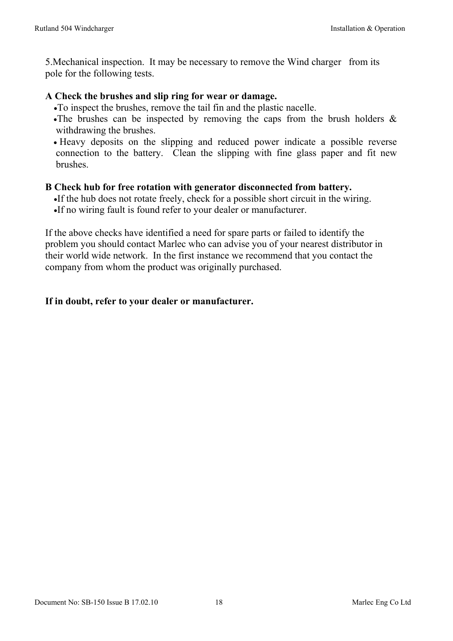5.Mechanical inspection. It may be necessary to remove the Wind charger from its pole for the following tests.

#### **A Check the brushes and slip ring for wear or damage.**

- •To inspect the brushes, remove the tail fin and the plastic nacelle.
- •The brushes can be inspected by removing the caps from the brush holders  $\&$ withdrawing the brushes.
- Heavy deposits on the slipping and reduced power indicate a possible reverse connection to the battery. Clean the slipping with fine glass paper and fit new brushes.

#### **B Check hub for free rotation with generator disconnected from battery.**

- •If the hub does not rotate freely, check for a possible short circuit in the wiring.
- •If no wiring fault is found refer to your dealer or manufacturer.

If the above checks have identified a need for spare parts or failed to identify the problem you should contact Marlec who can advise you of your nearest distributor in their world wide network. In the first instance we recommend that you contact the company from whom the product was originally purchased.

#### **If in doubt, refer to your dealer or manufacturer.**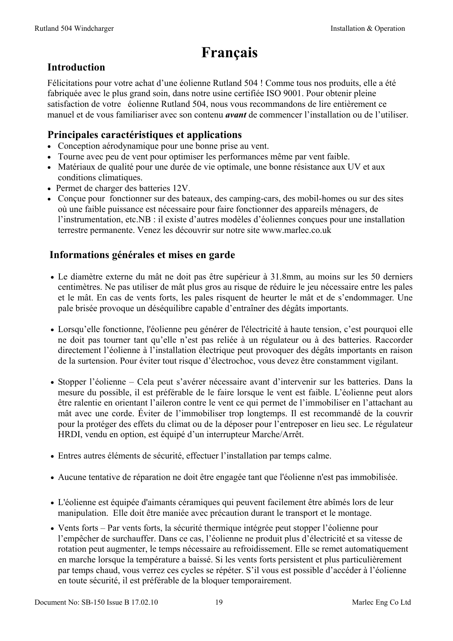# **Français**

#### **Introduction**

Félicitations pour votre achat d'une éolienne Rutland 504 ! Comme tous nos produits, elle a été fabriquée avec le plus grand soin, dans notre usine certifiée ISO 9001. Pour obtenir pleine satisfaction de votre éolienne Rutland 504, nous vous recommandons de lire entièrement ce manuel et de vous familiariser avec son contenu *avant* de commencer l'installation ou de l'utiliser.

#### **Principales caractéristiques et applications**

- Conception aérodynamique pour une bonne prise au vent.
- Tourne avec peu de vent pour optimiser les performances même par vent faible.
- Matériaux de qualité pour une durée de vie optimale, une bonne résistance aux UV et aux conditions climatiques.
- Permet de charger des batteries 12V.
- Conçue pour fonctionner sur des bateaux, des camping-cars, des mobil-homes ou sur des sites où une faible puissance est nécessaire pour faire fonctionner des appareils ménagers, de l'instrumentation, etc.NB : il existe d'autres modèles d'éoliennes conçues pour une installation terrestre permanente. Venez les découvrir sur notre site www.marlec.co.uk

#### **Informations générales et mises en garde**

- Le diamètre externe du mât ne doit pas être supérieur à 31.8mm, au moins sur les 50 derniers centimètres. Ne pas utiliser de mât plus gros au risque de réduire le jeu nécessaire entre les pales et le mât. En cas de vents forts, les pales risquent de heurter le mât et de s'endommager. Une pale brisée provoque un déséquilibre capable d'entraîner des dégâts importants.
- Lorsqu'elle fonctionne, l'éolienne peu générer de l'électricité à haute tension, c'est pourquoi elle ne doit pas tourner tant qu'elle n'est pas reliée à un régulateur ou à des batteries. Raccorder directement l'éolienne à l'installation électrique peut provoquer des dégâts importants en raison de la surtension. Pour éviter tout risque d'électrochoc, vous devez être constamment vigilant.
- Stopper l'éolienne Cela peut s'avérer nécessaire avant d'intervenir sur les batteries. Dans la mesure du possible, il est préférable de le faire lorsque le vent est faible. L'éolienne peut alors être ralentie en orientant l'aileron contre le vent ce qui permet de l'immobiliser en l'attachant au mât avec une corde. Éviter de l'immobiliser trop longtemps. Il est recommandé de la couvrir pour la protéger des effets du climat ou de la déposer pour l'entreposer en lieu sec. Le régulateur HRDI, vendu en option, est équipé d'un interrupteur Marche/Arrêt.
- Entres autres éléments de sécurité, effectuer l'installation par temps calme.
- Aucune tentative de réparation ne doit être engagée tant que l'éolienne n'est pas immobilisée.
- L'éolienne est équipée d'aimants céramiques qui peuvent facilement être abîmés lors de leur manipulation. Elle doit être maniée avec précaution durant le transport et le montage.
- Vents forts Par vents forts, la sécurité thermique intégrée peut stopper l'éolienne pour l'empêcher de surchauffer. Dans ce cas, l'éolienne ne produit plus d'électricité et sa vitesse de rotation peut augmenter, le temps nécessaire au refroidissement. Elle se remet automatiquement en marche lorsque la température a baissé. Si les vents forts persistent et plus particulièrement par temps chaud, vous verrez ces cycles se répéter. S'il vous est possible d'accéder à l'éolienne en toute sécurité, il est préférable de la bloquer temporairement.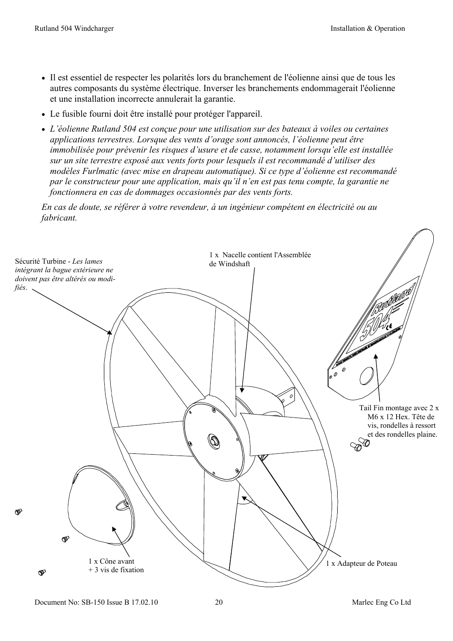- Il est essentiel de respecter les polarités lors du branchement de l'éolienne ainsi que de tous les autres composants du système électrique. Inverser les branchements endommagerait l'éolienne et une installation incorrecte annulerait la garantie.
- Le fusible fourni doit être installé pour protéger l'appareil.
- *L'éolienne Rutland 504 est conçue pour une utilisation sur des bateaux à voiles ou certaines applications terrestres. Lorsque des vents d'orage sont annoncés, l'éolienne peut être immobilisée pour prévenir les risques d'usure et de casse, notamment lorsqu'elle est installée sur un site terrestre exposé aux vents forts pour lesquels il est recommandé d'utiliser des modèles Furlmatic (avec mise en drapeau automatique). Si ce type d'éolienne est recommandé par le constructeur pour une application, mais qu'il n'en est pas tenu compte, la garantie ne fonctionnera en cas de dommages occasionnés par des vents forts.*

*En cas de doute, se référer à votre revendeur, à un ingénieur compétent en électricité ou au fabricant.* 

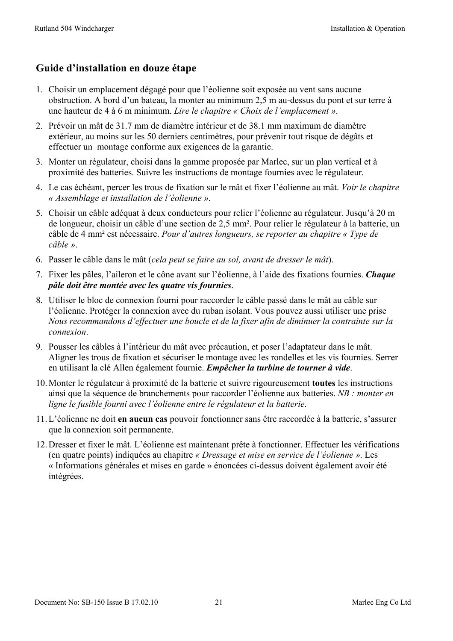#### **Guide d'installation en douze étape**

- 1. Choisir un emplacement dégagé pour que l'éolienne soit exposée au vent sans aucune obstruction. A bord d'un bateau, la monter au minimum 2,5 m au-dessus du pont et sur terre à une hauteur de 4 à 6 m minimum. *Lire le chapitre « Choix de l'emplacement »*.
- 2. Prévoir un mât de 31.7 mm de diamètre intérieur et de 38.1 mm maximum de diamètre extérieur, au moins sur les 50 derniers centimètres, pour prévenir tout risque de dégâts et effectuer un montage conforme aux exigences de la garantie.
- 3. Monter un régulateur, choisi dans la gamme proposée par Marlec, sur un plan vertical et à proximité des batteries. Suivre les instructions de montage fournies avec le régulateur.
- 4. Le cas échéant, percer les trous de fixation sur le mât et fixer l'éolienne au mât. *Voir le chapitre « Assemblage et installation de l'éolienne »*.
- 5. Choisir un câble adéquat à deux conducteurs pour relier l'éolienne au régulateur. Jusqu'à 20 m de longueur, choisir un câble d'une section de 2,5 mm². Pour relier le régulateur à la batterie, un câble de 4 mm² est nécessaire. *Pour d'autres longueurs, se reporter au chapitre « Type de câble »*.
- 6. Passer le câble dans le mât (*cela peut se faire au sol, avant de dresser le mât*).
- 7. Fixer les pâles, l'aileron et le cône avant sur l'éolienne, à l'aide des fixations fournies. *Chaque pâle doit être montée avec les quatre vis fournies*.
- 8. Utiliser le bloc de connexion fourni pour raccorder le câble passé dans le mât au câble sur l'éolienne. Protéger la connexion avec du ruban isolant. Vous pouvez aussi utiliser une prise *Nous recommandons d'effectuer une boucle et de la fixer afin de diminuer la contrainte sur la connexion*.
- 9. Pousser les câbles à l'intérieur du mât avec précaution, et poser l'adaptateur dans le mât. Aligner les trous de fixation et sécuriser le montage avec les rondelles et les vis fournies. Serrer en utilisant la clé Allen également fournie. *Empêcher la turbine de tourner à vide*.
- 10. Monter le régulateur à proximité de la batterie et suivre rigoureusement **toutes** les instructions ainsi que la séquence de branchements pour raccorder l'éolienne aux batteries. *NB : monter en ligne le fusible fourni avec l'éolienne entre le régulateur et la batterie*.
- 11. L'éolienne ne doit **en aucun cas** pouvoir fonctionner sans être raccordée à la batterie, s'assurer que la connexion soit permanente.
- 12. Dresser et fixer le mât. L'éolienne est maintenant prête à fonctionner. Effectuer les vérifications (en quatre points) indiquées au chapitre *« Dressage et mise en service de l'éolienne »*. Les « Informations générales et mises en garde » énoncées ci-dessus doivent également avoir été intégrées.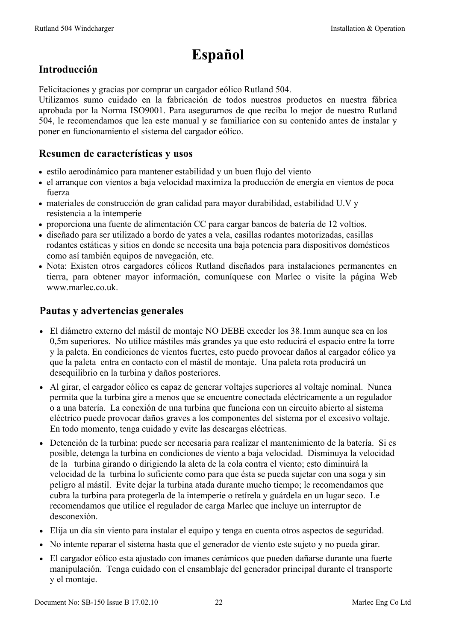# **Español**

#### **Introducción**

Felicitaciones y gracias por comprar un cargador eólico Rutland 504.

Utilizamos sumo cuidado en la fabricación de todos nuestros productos en nuestra fábrica aprobada por la Norma ISO9001. Para asegurarnos de que reciba lo mejor de nuestro Rutland 504, le recomendamos que lea este manual y se familiarice con su contenido antes de instalar y poner en funcionamiento el sistema del cargador eólico.

#### **Resumen de características y usos**

- estilo aerodinámico para mantener estabilidad y un buen flujo del viento
- el arranque con vientos a baja velocidad maximiza la producción de energía en vientos de poca fuerza
- materiales de construcción de gran calidad para mayor durabilidad, estabilidad U.V y resistencia a la intemperie
- proporciona una fuente de alimentación CC para cargar bancos de batería de 12 voltios.
- diseñado para ser utilizado a bordo de yates a vela, casillas rodantes motorizadas, casillas rodantes estáticas y sitios en donde se necesita una baja potencia para dispositivos domésticos como así también equipos de navegación, etc.
- Nota: Existen otros cargadores eólicos Rutland diseñados para instalaciones permanentes en tierra, para obtener mayor información, comuníquese con Marlec o visite la página Web www.marlec.co.uk.

#### **Pautas y advertencias generales**

- El diámetro externo del mástil de montaje NO DEBE exceder los 38.1mm aunque sea en los 0,5m superiores. No utilice mástiles más grandes ya que esto reducirá el espacio entre la torre y la paleta. En condiciones de vientos fuertes, esto puedo provocar daños al cargador eólico ya que la paleta entra en contacto con el mástil de montaje. Una paleta rota producirá un desequilibrio en la turbina y daños posteriores.
- Al girar, el cargador eólico es capaz de generar voltajes superiores al voltaje nominal. Nunca permita que la turbina gire a menos que se encuentre conectada eléctricamente a un regulador o a una batería. La conexión de una turbina que funciona con un circuito abierto al sistema eléctrico puede provocar daños graves a los componentes del sistema por el excesivo voltaje. En todo momento, tenga cuidado y evite las descargas eléctricas.
- Detención de la turbina: puede ser necesaria para realizar el mantenimiento de la batería. Si es posible, detenga la turbina en condiciones de viento a baja velocidad. Disminuya la velocidad de la turbina girando o dirigiendo la aleta de la cola contra el viento; esto diminuirá la velocidad de la turbina lo suficiente como para que ésta se pueda sujetar con una soga y sin peligro al mástil. Evite dejar la turbina atada durante mucho tiempo; le recomendamos que cubra la turbina para protegerla de la intemperie o retírela y guárdela en un lugar seco. Le recomendamos que utilice el regulador de carga Marlec que incluye un interruptor de desconexión.
- Elija un día sin viento para instalar el equipo y tenga en cuenta otros aspectos de seguridad.
- No intente reparar el sistema hasta que el generador de viento este sujeto y no pueda girar.
- El cargador eólico esta ajustado con imanes cerámicos que pueden dañarse durante una fuerte manipulación. Tenga cuidado con el ensamblaje del generador principal durante el transporte y el montaje.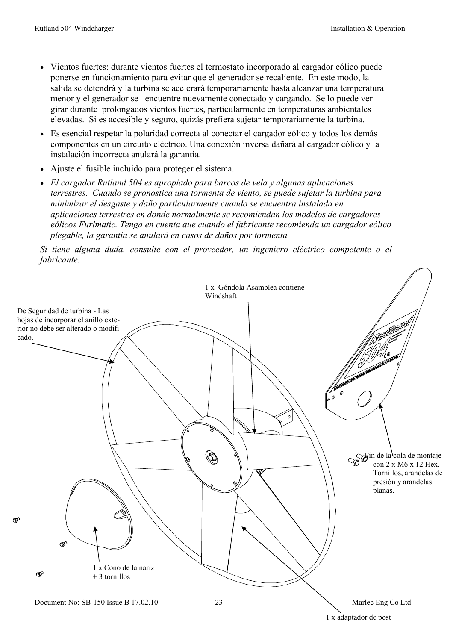- Vientos fuertes: durante vientos fuertes el termostato incorporado al cargador eólico puede ponerse en funcionamiento para evitar que el generador se recaliente. En este modo, la salida se detendrá y la turbina se acelerará temporariamente hasta alcanzar una temperatura menor y el generador se encuentre nuevamente conectado y cargando. Se lo puede ver girar durante prolongados vientos fuertes, particularmente en temperaturas ambientales elevadas. Si es accesible y seguro, quizás prefiera sujetar temporariamente la turbina.
- Es esencial respetar la polaridad correcta al conectar el cargador eólico y todos los demás componentes en un circuito eléctrico. Una conexión inversa dañará al cargador eólico y la instalación incorrecta anulará la garantía.
- Ajuste el fusible incluido para proteger el sistema.
- *El cargador Rutland 504 es apropiado para barcos de vela y algunas aplicaciones terrestres. Cuando se pronostica una tormenta de viento, se puede sujetar la turbina para minimizar el desgaste y daño particularmente cuando se encuentra instalada en aplicaciones terrestres en donde normalmente se recomiendan los modelos de cargadores eólicos Furlmatic. Tenga en cuenta que cuando el fabricante recomienda un cargador eólico plegable, la garantía se anulará en casos de daños por tormenta.*

*Si tiene alguna duda, consulte con el proveedor, un ingeniero eléctrico competente o el fabricante.* 

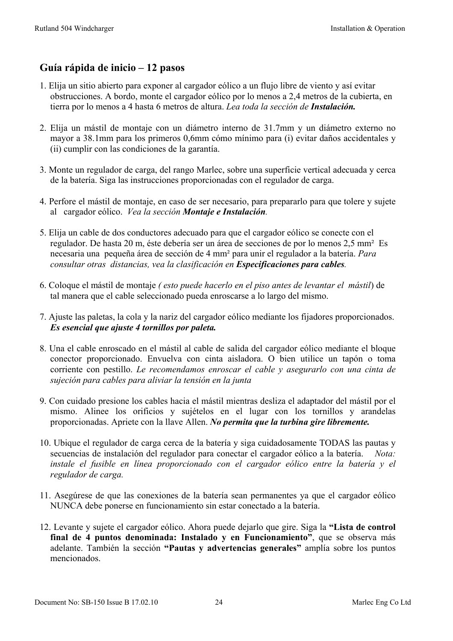#### **Guía rápida de inicio – 12 pasos**

- 1. Elija un sitio abierto para exponer al cargador eólico a un flujo libre de viento y así evitar obstrucciones. A bordo, monte el cargador eólico por lo menos a 2,4 metros de la cubierta, en tierra por lo menos a 4 hasta 6 metros de altura. *Lea toda la sección de Instalación.*
- 2. Elija un mástil de montaje con un diámetro interno de 31.7mm y un diámetro externo no mayor a 38.1mm para los primeros 0,6mm cómo mínimo para (i) evitar daños accidentales y (ii) cumplir con las condiciones de la garantía.
- 3. Monte un regulador de carga, del rango Marlec, sobre una superficie vertical adecuada y cerca de la batería. Siga las instrucciones proporcionadas con el regulador de carga.
- 4. Perfore el mástil de montaje, en caso de ser necesario, para prepararlo para que tolere y sujete al cargador eólico. *Vea la sección Montaje e Instalación.*
- 5. Elija un cable de dos conductores adecuado para que el cargador eólico se conecte con el regulador. De hasta 20 m, éste debería ser un área de secciones de por lo menos 2,5 mm² Es necesaria una pequeña área de sección de 4 mm² para unir el regulador a la batería. *Para consultar otras distancias, vea la clasificación en Especificaciones para cables.*
- 6. Coloque el mástil de montaje *( esto puede hacerlo en el piso antes de levantar el mástil*) de tal manera que el cable seleccionado pueda enroscarse a lo largo del mismo.
- 7. Ajuste las paletas, la cola y la nariz del cargador eólico mediante los fijadores proporcionados. *Es esencial que ajuste 4 tornillos por paleta.*
- 8. Una el cable enroscado en el mástil al cable de salida del cargador eólico mediante el bloque conector proporcionado. Envuelva con cinta aisladora. O bien utilice un tapón o toma corriente con pestillo. *Le recomendamos enroscar el cable y asegurarlo con una cinta de sujeción para cables para aliviar la tensión en la junta*
- 9. Con cuidado presione los cables hacia el mástil mientras desliza el adaptador del mástil por el mismo. Alinee los orificios y sujételos en el lugar con los tornillos y arandelas proporcionadas. Apriete con la llave Allen. *No permita que la turbina gire libremente.*
- 10. Ubique el regulador de carga cerca de la batería y siga cuidadosamente TODAS las pautas y secuencias de instalación del regulador para conectar el cargador eólico a la batería. *Nota: instale el fusible en línea proporcionado con el cargador eólico entre la batería y el regulador de carga.*
- 11. Asegúrese de que las conexiones de la batería sean permanentes ya que el cargador eólico NUNCA debe ponerse en funcionamiento sin estar conectado a la batería.
- 12. Levante y sujete el cargador eólico. Ahora puede dejarlo que gire. Siga la **"Lista de control final de 4 puntos denominada: Instalado y en Funcionamiento"**, que se observa más adelante. También la sección **"Pautas y advertencias generales"** amplía sobre los puntos mencionados.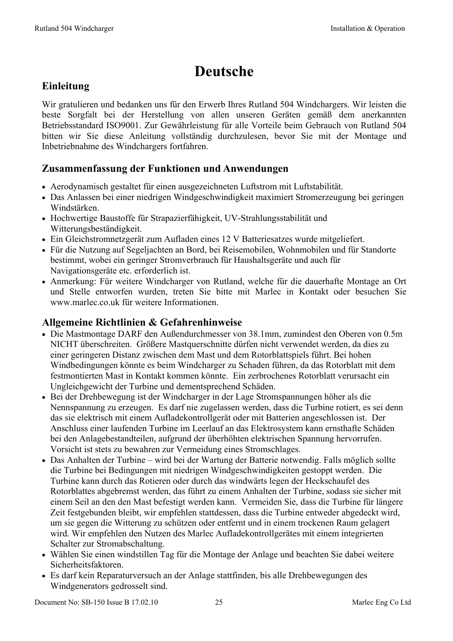# **Deutsche**

#### **Einleitung**

Wir gratulieren und bedanken uns für den Erwerb Ihres Rutland 504 Windchargers. Wir leisten die beste Sorgfalt bei der Herstellung von allen unseren Geräten gemäß dem anerkannten Betriebsstandard ISO9001. Zur Gewährleistung für alle Vorteile beim Gebrauch von Rutland 504 bitten wir Sie diese Anleitung vollständig durchzulesen, bevor Sie mit der Montage und Inbetriebnahme des Windchargers fortfahren.

#### **Zusammenfassung der Funktionen und Anwendungen**

- Aerodynamisch gestaltet für einen ausgezeichneten Luftstrom mit Luftstabilität.
- Das Anlassen bei einer niedrigen Windgeschwindigkeit maximiert Stromerzeugung bei geringen Windstärken.
- Hochwertige Baustoffe für Strapazierfähigkeit, UV-Strahlungsstabilität und Witterungsbeständigkeit.
- Ein Gleichstromnetzgerät zum Aufladen eines 12 V Batteriesatzes wurde mitgeliefert.
- Für die Nutzung auf Segeljachten an Bord, bei Reisemobilen, Wohnmobilen und für Standorte bestimmt, wobei ein geringer Stromverbrauch für Haushaltsgeräte und auch für Navigationsgeräte etc. erforderlich ist.
- Anmerkung: Für weitere Windcharger von Rutland, welche für die dauerhafte Montage an Ort und Stelle entworfen wurden, treten Sie bitte mit Marlec in Kontakt oder besuchen Sie www.marlec.co.uk für weitere Informationen.

#### **Allgemeine Richtlinien & Gefahrenhinweise**

- Die Mastmontage DARF den Außendurchmesser von 38.1mm, zumindest den Oberen von 0.5m NICHT überschreiten. Größere Mastquerschnitte dürfen nicht verwendet werden, da dies zu einer geringeren Distanz zwischen dem Mast und dem Rotorblattspiels führt. Bei hohen Windbedingungen könnte es beim Windcharger zu Schaden führen, da das Rotorblatt mit dem festmontierten Mast in Kontakt kommen könnte. Ein zerbrochenes Rotorblatt verursacht ein Ungleichgewicht der Turbine und dementsprechend Schäden.
- Bei der Drehbewegung ist der Windcharger in der Lage Stromspannungen höher als die Nennspannung zu erzeugen. Es darf nie zugelassen werden, dass die Turbine rotiert, es sei denn das sie elektrisch mit einem Aufladekontrollgerät oder mit Batterien angeschlossen ist. Der Anschluss einer laufenden Turbine im Leerlauf an das Elektrosystem kann ernsthafte Schäden bei den Anlagebestandteilen, aufgrund der überhöhten elektrischen Spannung hervorrufen. Vorsicht ist stets zu bewahren zur Vermeidung eines Stromschlages.
- Das Anhalten der Turbine wird bei der Wartung der Batterie notwendig. Falls möglich sollte die Turbine bei Bedingungen mit niedrigen Windgeschwindigkeiten gestoppt werden. Die Turbine kann durch das Rotieren oder durch das windwärts legen der Heckschaufel des Rotorblattes abgebremst werden, das führt zu einem Anhalten der Turbine, sodass sie sicher mit einem Seil an den den Mast befestigt werden kann. Vermeiden Sie, dass die Turbine für längere Zeit festgebunden bleibt, wir empfehlen stattdessen, dass die Turbine entweder abgedeckt wird, um sie gegen die Witterung zu schützen oder entfernt und in einem trockenen Raum gelagert wird. Wir empfehlen den Nutzen des Marlec Aufladekontrollgerätes mit einem integrierten Schalter zur Stromabschaltung.
- Wählen Sie einen windstillen Tag für die Montage der Anlage und beachten Sie dabei weitere Sicherheitsfaktoren.
- Es darf kein Reparaturversuch an der Anlage stattfinden, bis alle Drehbewegungen des Windgenerators gedrosselt sind.

Document No: SB-150 Issue B 17.02.10 25 Marlec Eng Co Ltd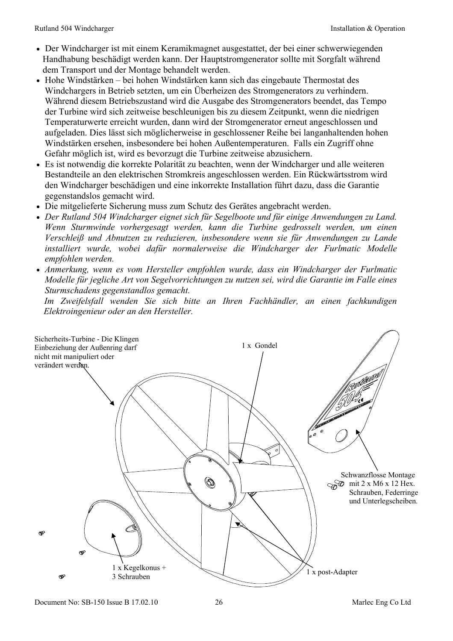- Der Windcharger ist mit einem Keramikmagnet ausgestattet, der bei einer schwerwiegenden Handhabung beschädigt werden kann. Der Hauptstromgenerator sollte mit Sorgfalt während dem Transport und der Montage behandelt werden.
- Hohe Windstärken bei hohen Windstärken kann sich das eingebaute Thermostat des Windchargers in Betrieb setzten, um ein Überheizen des Stromgenerators zu verhindern. Während diesem Betriebszustand wird die Ausgabe des Stromgenerators beendet, das Tempo der Turbine wird sich zeitweise beschleunigen bis zu diesem Zeitpunkt, wenn die niedrigen Temperaturwerte erreicht wurden, dann wird der Stromgenerator erneut angeschlossen und aufgeladen. Dies lässt sich möglicherweise in geschlossener Reihe bei langanhaltenden hohen Windstärken ersehen, insbesondere bei hohen Außentemperaturen. Falls ein Zugriff ohne Gefahr möglich ist, wird es bevorzugt die Turbine zeitweise abzusichern.
- Es ist notwendig die korrekte Polarität zu beachten, wenn der Windcharger und alle weiteren Bestandteile an den elektrischen Stromkreis angeschlossen werden. Ein Rückwärtsstrom wird den Windcharger beschädigen und eine inkorrekte Installation führt dazu, dass die Garantie gegenstandslos gemacht wird.
- Die mitgelieferte Sicherung muss zum Schutz des Gerätes angebracht werden.
- *Der Rutland 504 Windcharger eignet sich für Segelboote und für einige Anwendungen zu Land. Wenn Sturmwinde vorhergesagt werden, kann die Turbine gedrosselt werden, um einen Verschleiß und Abnutzen zu reduzieren, insbesondere wenn sie für Anwendungen zu Lande installiert wurde, wobei dafür normalerweise die Windcharger der Furlmatic Modelle empfohlen werden.*
- *Anmerkung, wenn es vom Hersteller empfohlen wurde, dass ein Windcharger der Furlmatic Modelle für jegliche Art von Segelvorrichtungen zu nutzen sei, wird die Garantie im Falle eines Sturmschadens gegenstandlos gemacht.*

 *Im Zweifelsfall wenden Sie sich bitte an Ihren Fachhändler, an einen fachkundigen Elektroingenieur oder an den Hersteller.* 

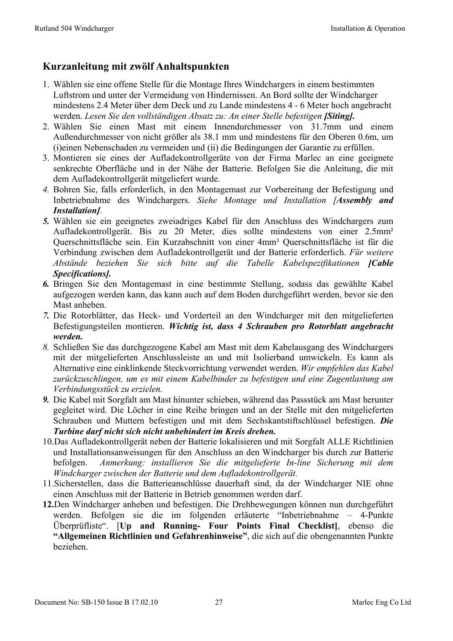#### **Kurzanleitung mit zwölf Anhaltspunkten**

- 1. Wählen sie eine offene Stelle für die Montage Ihres Windchargers in einem bestimmten Luftstrom und unter der Vermeidung von Hindernissen. An Bord sollte der Windcharger mindestens 2.4 Meter über dem Deck und zu Lande mindestens 4 - 6 Meter hoch angebracht werden. *Lesen Sie den vollständigen Absatz zu: An einer Stelle befestigen [Siting].*
- 2. Wählen Sie einen Mast mit einem Innendurchmesser von 31.7mm und einem Außendurchmesser von nicht größer als 38.1 mm und mindestens für den Oberen 0.6m, um (i)einen Nebenschaden zu vermeiden und (ii) die Bedingungen der Garantie zu erfüllen.
- 3. Montieren sie eines der Aufladekontrollgeräte von der Firma Marlec an eine geeignete senkrechte Oberfläche und in der Nähe der Batterie. Befolgen Sie die Anleitung, die mit dem Aufladekontrollgerät mitgeliefert wurde.
- *4.* Bohren Sie, falls erforderlich, in den Montagemast zur Vorbereitung der Befestigung und Inbetriebnahme des Windchargers. *Siehe Montage und Installation [Assembly and Installation].*
- *5.* Wählen sie ein geeignetes zweiadriges Kabel für den Anschluss des Windchargers zum Aufladekontrollgerät. Bis zu 20 Meter, dies sollte mindestens von einer 2.5mm² Querschnittsfläche sein. Ein Kurzabschnitt von einer 4mm² Querschnittsfläche ist für die Verbindung zwischen dem Aufladekontrollgerät und der Batterie erforderlich. *Für weitere Abstände beziehen Sie sich bitte auf die Tabelle Kabelspezifikationen [Cable Specifications].*
- *6.* Bringen Sie den Montagemast in eine bestimmte Stellung, sodass das gewählte Kabel aufgezogen werden kann, das kann auch auf dem Boden durchgeführt werden, bevor sie den Mast anheben.
- *7.* Die Rotorblätter, das Heck- und Vorderteil an den Windcharger mit den mitgelieferten Befestigungsteilen montieren. *Wichtig ist, dass 4 Schrauben pro Rotorblatt angebracht werden.*
- *8.* Schließen Sie das durchgezogene Kabel am Mast mit dem Kabelausgang des Windchargers mit der mitgelieferten Anschlussleiste an und mit Isolierband umwickeln. Es kann als Alternative eine einklinkende Steckvorrichtung verwendet werden. *Wir empfehlen das Kabel zurückzuschlingen, um es mit einem Kabelbinder zu befestigen und eine Zugentlastung am Verbindungsstück zu erzielen.*
- *9.* Die Kabel mit Sorgfalt am Mast hinunter schieben, während das Passstück am Mast herunter gegleitet wird. Die Löcher in eine Reihe bringen und an der Stelle mit den mitgelieferten Schrauben und Muttern befestigen und mit dem Sechskantstiftschlüssel befestigen. *Die Turbine darf nicht sich nicht unbehindert im Kreis drehen.*
- 10.Das Aufladekontrollgerät neben der Batterie lokalisieren und mit Sorgfalt ALLE Richtlinien und Installationsanweisungen für den Anschluss an den Windcharger bis durch zur Batterie befolgen. *Anmerkung: installieren Sie die mitgelieferte In-line Sicherung mit dem Windcharger zwischen der Batterie und dem Aufladekontrollgerät.*
- 11.Sicherstellen, dass die Batterieanschlüsse dauerhaft sind, da der Windcharger NIE ohne einen Anschluss mit der Batterie in Betrieb genommen werden darf.
- **12.**Den Windcharger anheben und befestigen. Die Drehbewegungen können nun durchgeführt werden. Befolgen sie die im folgenden erläuterte "Inbetriebnahme – 4-Punkte Überprüfliste". [**Up and Running- Four Points Final Checklist]**, ebenso die **"Allgemeinen Richtlinien und Gefahrenhinweise"**, die sich auf die obengenannten Punkte beziehen.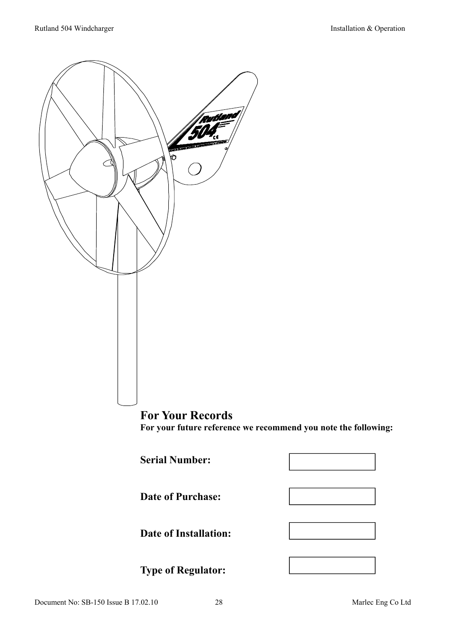

**For Your Records For your future reference we recommend you note the following:** 

**Serial Number:** 



**Date of Purchase:** 



**Date of Installation:** 



**Type of Regulator:**